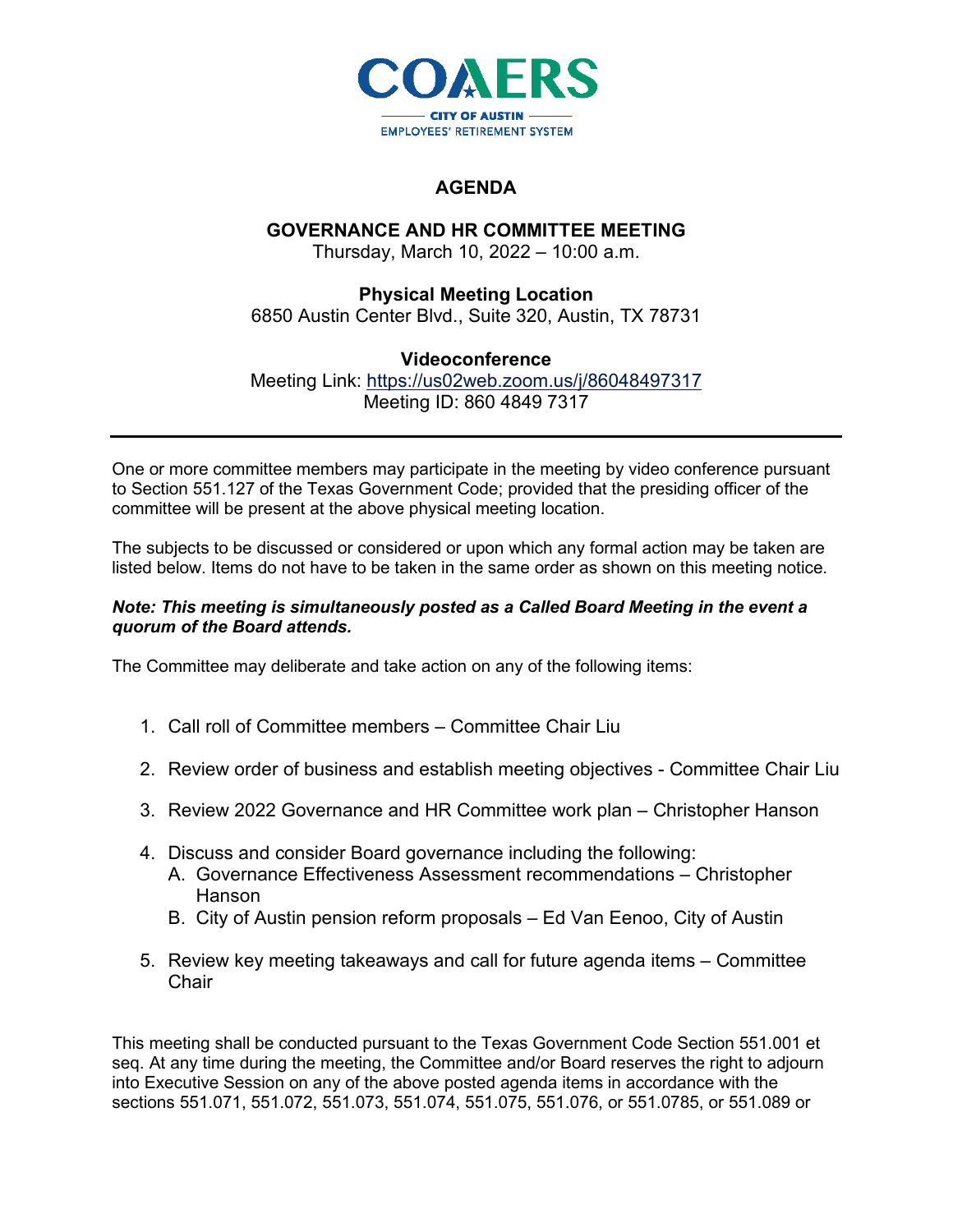

## **AGENDA**

## **GOVERNANCE AND HR COMMITTEE MEETING**

Thursday, March 10, 2022 – 10:00 a.m.

**Physical Meeting Location** 6850 Austin Center Blvd., Suite 320, Austin, TX 78731

## **Videoconference**

Meeting Link: <https://us02web.zoom.us/j/86048497317> Meeting ID: 860 4849 7317

One or more committee members may participate in the meeting by video conference pursuant to Section 551.127 of the Texas Government Code; provided that the presiding officer of the committee will be present at the above physical meeting location.

The subjects to be discussed or considered or upon which any formal action may be taken are listed below. Items do not have to be taken in the same order as shown on this meeting notice.

## *Note: This meeting is simultaneously posted as a Called Board Meeting in the event a quorum of the Board attends.*

The Committee may deliberate and take action on any of the following items:

- 1. Call roll of Committee members Committee Chair Liu
- 2. Review order of business and establish meeting objectives Committee Chair Liu
- 3. Review 2022 Governance and HR Committee work plan Christopher Hanson
- 4. Discuss and consider Board governance including the following:
	- A. Governance Effectiveness Assessment recommendations Christopher Hanson
	- B. City of Austin pension reform proposals Ed Van Eenoo, City of Austin
- 5. Review key meeting takeaways and call for future agenda items Committee **Chair**

This meeting shall be conducted pursuant to the Texas Government Code Section 551.001 et seq. At any time during the meeting, the Committee and/or Board reserves the right to adjourn into Executive Session on any of the above posted agenda items in accordance with the sections 551.071, 551.072, 551.073, 551.074, 551.075, 551.076, or 551.0785, or 551.089 or